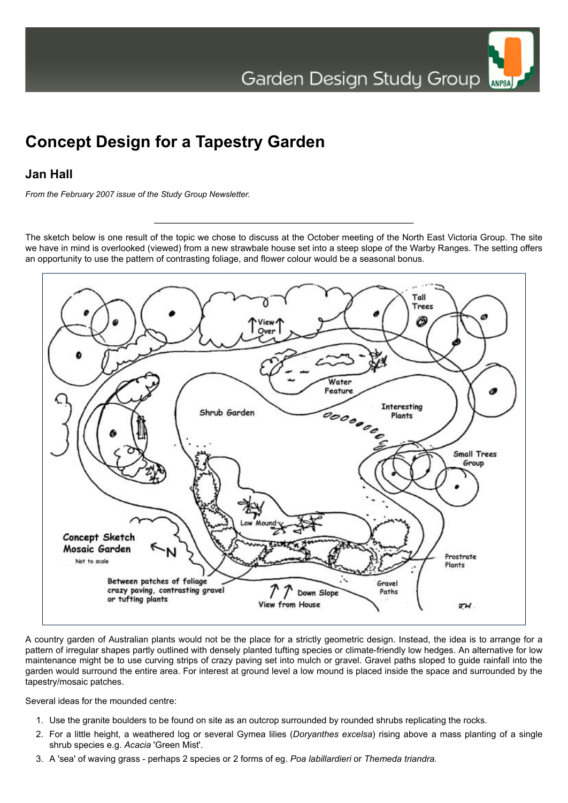## **Concept Design for a Tapestry Garden**

## **Jan Hall**

*From the February 2007 issue of the Study Group Newsletter.*

The sketch below is one result of the topic we chose to discuss at the October meeting of the North East Victoria Group. The site we have in mind is overlooked (viewed) from a new strawbale house set into a steep slope of the Warby Ranges. The setting offers an opportunity to use the pattern of contrasting foliage, and flower colour would be a seasonal bonus.



A country garden of Australian plants would not be the place for a strictly geometric design. Instead, the idea is to arrange for a pattern of irregular shapes partly outlined with densely planted tufting species or climate-friendly low hedges. An alternative for low maintenance might be to use curving strips of crazy paving set into mulch or gravel. Gravel paths sloped to guide rainfall into the garden would surround the entire area. For interest at ground level a low mound is placed inside the space and surrounded by the tapestry/mosaic patches.

Several ideas for the mounded centre:

- 1. Use the granite boulders to be found on site as an outcrop surrounded by rounded shrubs replicating the rocks.
- 2. For a little height, a weathered log or several Gymea lilies (*Doryanthes excelsa*) rising above a mass planting of a single shrub species e.g. *Acacia* 'Green Mist'.
- 3. A 'sea' of waving grass perhaps 2 species or 2 forms of eg. *Poa labillardieri* or *Themeda triandra*.